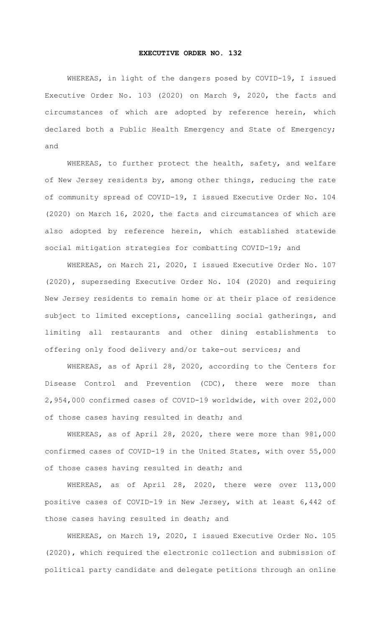## **EXECUTIVE ORDER NO. 132**

WHEREAS, in light of the dangers posed by COVID-19, I issued Executive Order No. 103 (2020) on March 9, 2020, the facts and circumstances of which are adopted by reference herein, which declared both a Public Health Emergency and State of Emergency; and

WHEREAS, to further protect the health, safety, and welfare of New Jersey residents by, among other things, reducing the rate of community spread of COVID-19, I issued Executive Order No. 104 (2020) on March 16, 2020, the facts and circumstances of which are also adopted by reference herein, which established statewide social mitigation strategies for combatting COVID-19; and

WHEREAS, on March 21, 2020, I issued Executive Order No. 107 (2020), superseding Executive Order No. 104 (2020) and requiring New Jersey residents to remain home or at their place of residence subject to limited exceptions, cancelling social gatherings, and limiting all restaurants and other dining establishments to offering only food delivery and/or take-out services; and

WHEREAS, as of April 28, 2020, according to the Centers for Disease Control and Prevention (CDC), there were more than 2,954,000 confirmed cases of COVID-19 worldwide, with over 202,000 of those cases having resulted in death; and

WHEREAS, as of April 28, 2020, there were more than 981,000 confirmed cases of COVID-19 in the United States, with over 55,000 of those cases having resulted in death; and

WHEREAS, as of April 28, 2020, there were over 113,000 positive cases of COVID-19 in New Jersey, with at least 6,442 of those cases having resulted in death; and

WHEREAS, on March 19, 2020, I issued Executive Order No. 105 (2020), which required the electronic collection and submission of political party candidate and delegate petitions through an online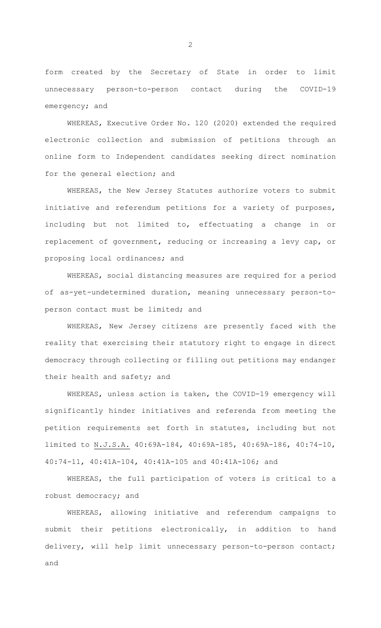form created by the Secretary of State in order to limit unnecessary person-to-person contact during the COVID-19 emergency; and

WHEREAS, Executive Order No. 120 (2020) extended the required electronic collection and submission of petitions through an online form to Independent candidates seeking direct nomination for the general election; and

WHEREAS, the New Jersey Statutes authorize voters to submit initiative and referendum petitions for a variety of purposes, including but not limited to, effectuating a change in or replacement of government, reducing or increasing a levy cap, or proposing local ordinances; and

WHEREAS, social distancing measures are required for a period of as-yet-undetermined duration, meaning unnecessary person-toperson contact must be limited; and

WHEREAS, New Jersey citizens are presently faced with the reality that exercising their statutory right to engage in direct democracy through collecting or filling out petitions may endanger their health and safety; and

WHEREAS, unless action is taken, the COVID-19 emergency will significantly hinder initiatives and referenda from meeting the petition requirements set forth in statutes, including but not limited to N.J.S.A. 40:69A-184, 40:69A-185, 40:69A-186, 40:74-10, 40:74-11, 40:41A-104, 40:41A-105 and 40:41A-106; and

WHEREAS, the full participation of voters is critical to a robust democracy; and

WHEREAS, allowing initiative and referendum campaigns to submit their petitions electronically, in addition to hand delivery, will help limit unnecessary person-to-person contact; and

2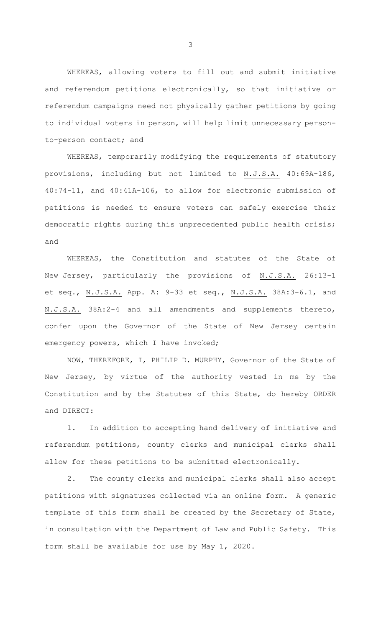WHEREAS, allowing voters to fill out and submit initiative and referendum petitions electronically, so that initiative or referendum campaigns need not physically gather petitions by going to individual voters in person, will help limit unnecessary personto-person contact; and

WHEREAS, temporarily modifying the requirements of statutory provisions, including but not limited to N.J.S.A. 40:69A-186, 40:74-11, and 40:41A-106, to allow for electronic submission of petitions is needed to ensure voters can safely exercise their democratic rights during this unprecedented public health crisis; and

WHEREAS, the Constitution and statutes of the State of New Jersey, particularly the provisions of N.J.S.A. 26:13-1 et seq., N.J.S.A. App. A: 9-33 et seq., N.J.S.A. 38A:3-6.1, and N.J.S.A. 38A:2-4 and all amendments and supplements thereto, confer upon the Governor of the State of New Jersey certain emergency powers, which I have invoked;

NOW, THEREFORE, I, PHILIP D. MURPHY, Governor of the State of New Jersey, by virtue of the authority vested in me by the Constitution and by the Statutes of this State, do hereby ORDER and DIRECT:

1. In addition to accepting hand delivery of initiative and referendum petitions, county clerks and municipal clerks shall allow for these petitions to be submitted electronically.

2. The county clerks and municipal clerks shall also accept petitions with signatures collected via an online form. A generic template of this form shall be created by the Secretary of State, in consultation with the Department of Law and Public Safety. This form shall be available for use by May 1, 2020.

3